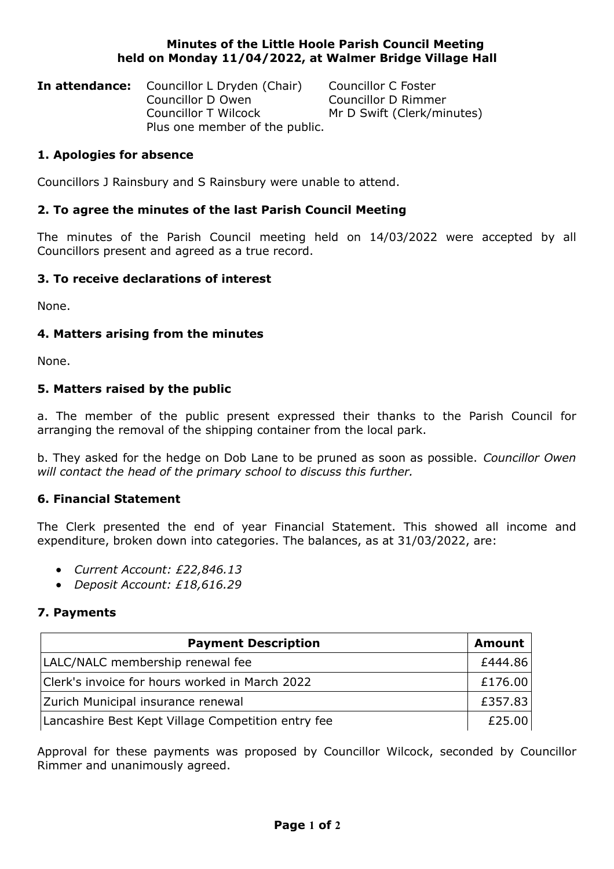#### **Minutes of the Little Hoole Parish Council Meeting held on Monday 11/04/2022, at Walmer Bridge Village Hall**

| <b>In attendance:</b> Councillor L Dryden (Chair) | Councillor C Foster        |
|---------------------------------------------------|----------------------------|
| Councillor D Owen                                 | Councillor D Rimmer        |
| Councillor T Wilcock                              | Mr D Swift (Clerk/minutes) |
| Plus one member of the public.                    |                            |

## **1. Apologies for absence**

Councillors J Rainsbury and S Rainsbury were unable to attend.

# **2. To agree the minutes of the last Parish Council Meeting**

The minutes of the Parish Council meeting held on 14/03/2022 were accepted by all Councillors present and agreed as a true record.

# **3. To receive declarations of interest**

None.

# **4. Matters arising from the minutes**

None.

## **5. Matters raised by the public**

a. The member of the public present expressed their thanks to the Parish Council for arranging the removal of the shipping container from the local park.

b. They asked for the hedge on Dob Lane to be pruned as soon as possible. *Councillor Owen will contact the head of the primary school to discuss this further.*

## **6. Financial Statement**

The Clerk presented the end of year Financial Statement. This showed all income and expenditure, broken down into categories. The balances, as at 31/03/2022, are:

- *Current Account: £22,846.13*
- *Deposit Account: £18,616.29*

## **7. Payments**

| <b>Payment Description</b>                         | <b>Amount</b> |
|----------------------------------------------------|---------------|
| LALC/NALC membership renewal fee                   |               |
| Clerk's invoice for hours worked in March 2022     |               |
| Zurich Municipal insurance renewal                 |               |
| Lancashire Best Kept Village Competition entry fee |               |

Approval for these payments was proposed by Councillor Wilcock, seconded by Councillor Rimmer and unanimously agreed.